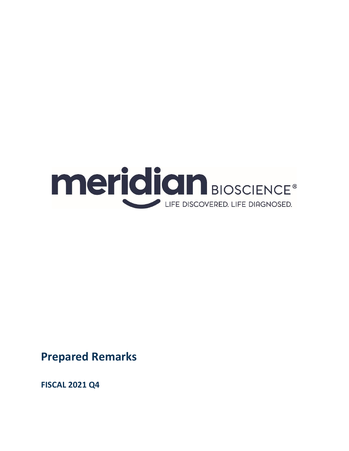

**Prepared Remarks**

**FISCAL 2021 Q4**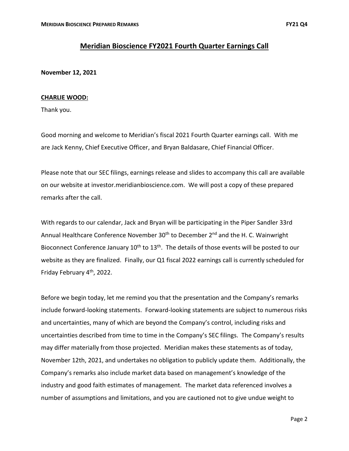# **Meridian Bioscience FY2021 Fourth Quarter Earnings Call**

**November 12, 2021**

## **CHARLIE WOOD:**

Thank you.

Good morning and welcome to Meridian's fiscal 2021 Fourth Quarter earnings call. With me are Jack Kenny, Chief Executive Officer, and Bryan Baldasare, Chief Financial Officer.

Please note that our SEC filings, earnings release and slides to accompany this call are available on our website at investor.meridianbioscience.com. We will post a copy of these prepared remarks after the call.

With regards to our calendar, Jack and Bryan will be participating in the Piper Sandler 33rd Annual Healthcare Conference November 30<sup>th</sup> to December 2<sup>nd</sup> and the H. C. Wainwright Bioconnect Conference January  $10^{th}$  to  $13^{th}$ . The details of those events will be posted to our website as they are finalized. Finally, our Q1 fiscal 2022 earnings call is currently scheduled for Friday February 4<sup>th</sup>, 2022.

Before we begin today, let me remind you that the presentation and the Company's remarks include forward-looking statements. Forward-looking statements are subject to numerous risks and uncertainties, many of which are beyond the Company's control, including risks and uncertainties described from time to time in the Company's SEC filings. The Company's results may differ materially from those projected. Meridian makes these statements as of today, November 12th, 2021, and undertakes no obligation to publicly update them. Additionally, the Company's remarks also include market data based on management's knowledge of the industry and good faith estimates of management. The market data referenced involves a number of assumptions and limitations, and you are cautioned not to give undue weight to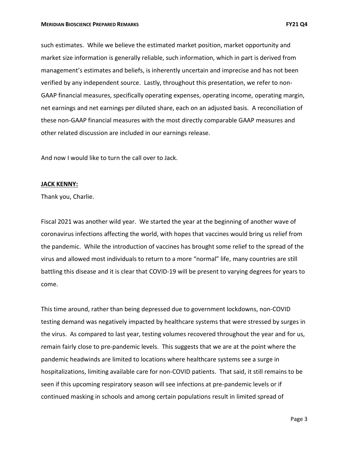such estimates. While we believe the estimated market position, market opportunity and market size information is generally reliable, such information, which in part is derived from management's estimates and beliefs, is inherently uncertain and imprecise and has not been verified by any independent source. Lastly, throughout this presentation, we refer to non-GAAP financial measures, specifically operating expenses, operating income, operating margin, net earnings and net earnings per diluted share, each on an adjusted basis. A reconciliation of these non-GAAP financial measures with the most directly comparable GAAP measures and other related discussion are included in our earnings release.

And now I would like to turn the call over to Jack.

#### **JACK KENNY:**

Thank you, Charlie.

Fiscal 2021 was another wild year. We started the year at the beginning of another wave of coronavirus infections affecting the world, with hopes that vaccines would bring us relief from the pandemic. While the introduction of vaccines has brought some relief to the spread of the virus and allowed most individuals to return to a more "normal" life, many countries are still battling this disease and it is clear that COVID-19 will be present to varying degrees for years to come.

This time around, rather than being depressed due to government lockdowns, non-COVID testing demand was negatively impacted by healthcare systems that were stressed by surges in the virus. As compared to last year, testing volumes recovered throughout the year and for us, remain fairly close to pre-pandemic levels. This suggests that we are at the point where the pandemic headwinds are limited to locations where healthcare systems see a surge in hospitalizations, limiting available care for non-COVID patients. That said, it still remains to be seen if this upcoming respiratory season will see infections at pre-pandemic levels or if continued masking in schools and among certain populations result in limited spread of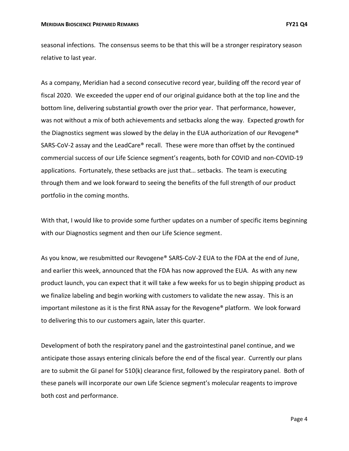seasonal infections. The consensus seems to be that this will be a stronger respiratory season relative to last year.

As a company, Meridian had a second consecutive record year, building off the record year of fiscal 2020. We exceeded the upper end of our original guidance both at the top line and the bottom line, delivering substantial growth over the prior year. That performance, however, was not without a mix of both achievements and setbacks along the way. Expected growth for the Diagnostics segment was slowed by the delay in the EUA authorization of our Revogene® SARS-CoV-2 assay and the LeadCare® recall. These were more than offset by the continued commercial success of our Life Science segment's reagents, both for COVID and non-COVID-19 applications. Fortunately, these setbacks are just that… setbacks. The team is executing through them and we look forward to seeing the benefits of the full strength of our product portfolio in the coming months.

With that, I would like to provide some further updates on a number of specific items beginning with our Diagnostics segment and then our Life Science segment.

As you know, we resubmitted our Revogene® SARS-CoV-2 EUA to the FDA at the end of June, and earlier this week, announced that the FDA has now approved the EUA. As with any new product launch, you can expect that it will take a few weeks for us to begin shipping product as we finalize labeling and begin working with customers to validate the new assay. This is an important milestone as it is the first RNA assay for the Revogene® platform. We look forward to delivering this to our customers again, later this quarter.

Development of both the respiratory panel and the gastrointestinal panel continue, and we anticipate those assays entering clinicals before the end of the fiscal year. Currently our plans are to submit the GI panel for 510(k) clearance first, followed by the respiratory panel. Both of these panels will incorporate our own Life Science segment's molecular reagents to improve both cost and performance.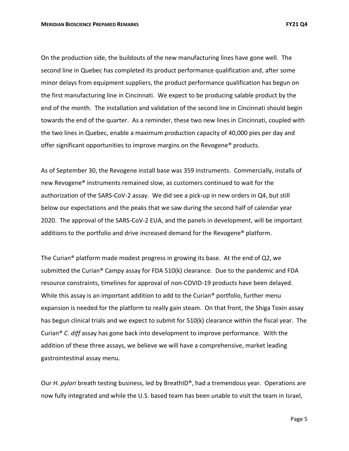On the production side, the buildouts of the new manufacturing lines have gone well. The second line in Quebec has completed its product performance qualification and, after some minor delays from equipment suppliers, the product performance qualification has begun on the first manufacturing line in Cincinnati. We expect to be producing salable product by the end of the month. The installation and validation of the second line in Cincinnati should begin towards the end of the quarter. As a reminder, these two new lines in Cincinnati, coupled with the two lines in Quebec, enable a maximum production capacity of 40,000 pies per day and offer significant opportunities to improve margins on the Revogene® products.

As of September 30, the Revogene install base was 359 instruments. Commercially, installs of new Revogene® instruments remained slow, as customers continued to wait for the authorization of the SARS-CoV-2 assay. We did see a pick-up in new orders in Q4, but still below our expectations and the peaks that we saw during the second half of calendar year 2020. The approval of the SARS-CoV-2 EUA, and the panels in development, will be important additions to the portfolio and drive increased demand for the Revogene® platform.

The Curian® platform made modest progress in growing its base. At the end of Q2, we submitted the Curian® Campy assay for FDA 510(k) clearance. Due to the pandemic and FDA resource constraints, timelines for approval of non-COVID-19 products have been delayed. While this assay is an important addition to add to the Curian<sup>®</sup> portfolio, further menu expansion is needed for the platform to really gain steam. On that front, the Shiga Toxin assay has begun clinical trials and we expect to submit for 510(k) clearance within the fiscal year. The Curian® *C. diff* assay has gone back into development to improve performance. With the addition of these three assays, we believe we will have a comprehensive, market leading gastrointestinal assay menu.

Our *H. pylori* breath testing business, led by BreathID®, had a tremendous year. Operations are now fully integrated and while the U.S. based team has been unable to visit the team in Israel,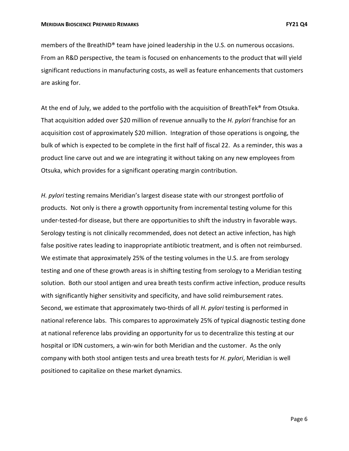members of the BreathID® team have joined leadership in the U.S. on numerous occasions. From an R&D perspective, the team is focused on enhancements to the product that will yield significant reductions in manufacturing costs, as well as feature enhancements that customers are asking for.

At the end of July, we added to the portfolio with the acquisition of BreathTek® from Otsuka. That acquisition added over \$20 million of revenue annually to the *H. pylori* franchise for an acquisition cost of approximately \$20 million. Integration of those operations is ongoing, the bulk of which is expected to be complete in the first half of fiscal 22. As a reminder, this was a product line carve out and we are integrating it without taking on any new employees from Otsuka, which provides for a significant operating margin contribution.

*H. pylori* testing remains Meridian's largest disease state with our strongest portfolio of products. Not only is there a growth opportunity from incremental testing volume for this under-tested-for disease, but there are opportunities to shift the industry in favorable ways. Serology testing is not clinically recommended, does not detect an active infection, has high false positive rates leading to inappropriate antibiotic treatment, and is often not reimbursed. We estimate that approximately 25% of the testing volumes in the U.S. are from serology testing and one of these growth areas is in shifting testing from serology to a Meridian testing solution. Both our stool antigen and urea breath tests confirm active infection, produce results with significantly higher sensitivity and specificity, and have solid reimbursement rates. Second, we estimate that approximately two-thirds of all *H. pylori* testing is performed in national reference labs. This compares to approximately 25% of typical diagnostic testing done at national reference labs providing an opportunity for us to decentralize this testing at our hospital or IDN customers, a win-win for both Meridian and the customer. As the only company with both stool antigen tests and urea breath tests for *H. pylori*, Meridian is well positioned to capitalize on these market dynamics.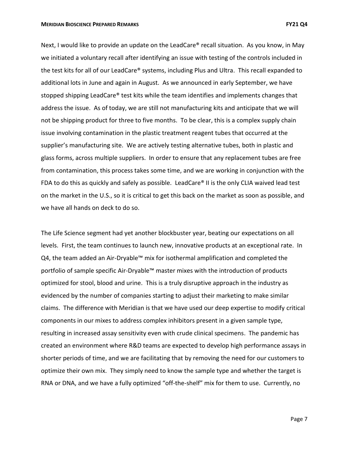Next, I would like to provide an update on the LeadCare® recall situation. As you know, in May we initiated a voluntary recall after identifying an issue with testing of the controls included in the test kits for all of our LeadCare® systems, including Plus and Ultra. This recall expanded to additional lots in June and again in August. As we announced in early September, we have stopped shipping LeadCare® test kits while the team identifies and implements changes that address the issue. As of today, we are still not manufacturing kits and anticipate that we will not be shipping product for three to five months. To be clear, this is a complex supply chain issue involving contamination in the plastic treatment reagent tubes that occurred at the supplier's manufacturing site. We are actively testing alternative tubes, both in plastic and glass forms, across multiple suppliers. In order to ensure that any replacement tubes are free from contamination, this process takes some time, and we are working in conjunction with the FDA to do this as quickly and safely as possible. LeadCare® II is the only CLIA waived lead test on the market in the U.S., so it is critical to get this back on the market as soon as possible, and we have all hands on deck to do so.

The Life Science segment had yet another blockbuster year, beating our expectations on all levels. First, the team continues to launch new, innovative products at an exceptional rate. In Q4, the team added an Air-Dryable™ mix for isothermal amplification and completed the portfolio of sample specific Air-Dryable™ master mixes with the introduction of products optimized for stool, blood and urine. This is a truly disruptive approach in the industry as evidenced by the number of companies starting to adjust their marketing to make similar claims. The difference with Meridian is that we have used our deep expertise to modify critical components in our mixes to address complex inhibitors present in a given sample type, resulting in increased assay sensitivity even with crude clinical specimens. The pandemic has created an environment where R&D teams are expected to develop high performance assays in shorter periods of time, and we are facilitating that by removing the need for our customers to optimize their own mix. They simply need to know the sample type and whether the target is RNA or DNA, and we have a fully optimized "off-the-shelf" mix for them to use. Currently, no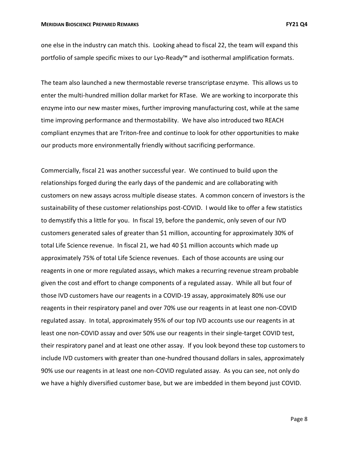one else in the industry can match this. Looking ahead to fiscal 22, the team will expand this portfolio of sample specific mixes to our Lyo-Ready™ and isothermal amplification formats.

The team also launched a new thermostable reverse transcriptase enzyme. This allows us to enter the multi-hundred million dollar market for RTase. We are working to incorporate this enzyme into our new master mixes, further improving manufacturing cost, while at the same time improving performance and thermostability. We have also introduced two REACH compliant enzymes that are Triton-free and continue to look for other opportunities to make our products more environmentally friendly without sacrificing performance.

Commercially, fiscal 21 was another successful year. We continued to build upon the relationships forged during the early days of the pandemic and are collaborating with customers on new assays across multiple disease states. A common concern of investors is the sustainability of these customer relationships post-COVID. I would like to offer a few statistics to demystify this a little for you. In fiscal 19, before the pandemic, only seven of our IVD customers generated sales of greater than \$1 million, accounting for approximately 30% of total Life Science revenue. In fiscal 21, we had 40 \$1 million accounts which made up approximately 75% of total Life Science revenues. Each of those accounts are using our reagents in one or more regulated assays, which makes a recurring revenue stream probable given the cost and effort to change components of a regulated assay. While all but four of those IVD customers have our reagents in a COVID-19 assay, approximately 80% use our reagents in their respiratory panel and over 70% use our reagents in at least one non-COVID regulated assay. In total, approximately 95% of our top IVD accounts use our reagents in at least one non-COVID assay and over 50% use our reagents in their single-target COVID test, their respiratory panel and at least one other assay. If you look beyond these top customers to include IVD customers with greater than one-hundred thousand dollars in sales, approximately 90% use our reagents in at least one non-COVID regulated assay. As you can see, not only do we have a highly diversified customer base, but we are imbedded in them beyond just COVID.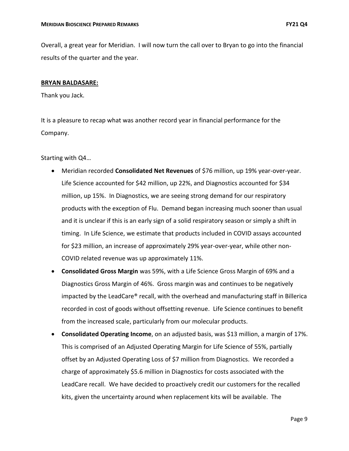Overall, a great year for Meridian. I will now turn the call over to Bryan to go into the financial results of the quarter and the year.

### **BRYAN BALDASARE:**

Thank you Jack.

It is a pleasure to recap what was another record year in financial performance for the Company.

Starting with Q4…

- Meridian recorded **Consolidated Net Revenues** of \$76 million, up 19% year-over-year. Life Science accounted for \$42 million, up 22%, and Diagnostics accounted for \$34 million, up 15%. In Diagnostics, we are seeing strong demand for our respiratory products with the exception of Flu. Demand began increasing much sooner than usual and it is unclear if this is an early sign of a solid respiratory season or simply a shift in timing. In Life Science, we estimate that products included in COVID assays accounted for \$23 million, an increase of approximately 29% year-over-year, while other non-COVID related revenue was up approximately 11%.
- **Consolidated Gross Margin** was 59%, with a Life Science Gross Margin of 69% and a Diagnostics Gross Margin of 46%. Gross margin was and continues to be negatively impacted by the LeadCare® recall, with the overhead and manufacturing staff in Billerica recorded in cost of goods without offsetting revenue. Life Science continues to benefit from the increased scale, particularly from our molecular products.
- **Consolidated Operating Income**, on an adjusted basis, was \$13 million, a margin of 17%. This is comprised of an Adjusted Operating Margin for Life Science of 55%, partially offset by an Adjusted Operating Loss of \$7 million from Diagnostics. We recorded a charge of approximately \$5.6 million in Diagnostics for costs associated with the LeadCare recall. We have decided to proactively credit our customers for the recalled kits, given the uncertainty around when replacement kits will be available. The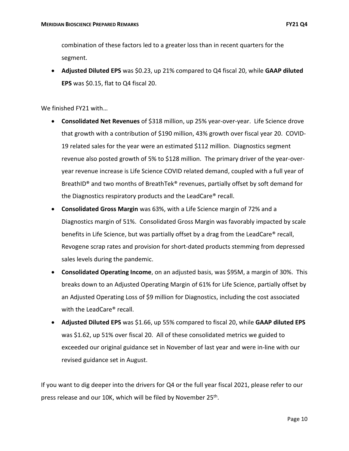combination of these factors led to a greater loss than in recent quarters for the segment.

• **Adjusted Diluted EPS** was \$0.23, up 21% compared to Q4 fiscal 20, while **GAAP diluted EPS** was \$0.15, flat to Q4 fiscal 20.

We finished FY21 with…

- **Consolidated Net Revenues** of \$318 million, up 25% year-over-year. Life Science drove that growth with a contribution of \$190 million, 43% growth over fiscal year 20. COVID-19 related sales for the year were an estimated \$112 million. Diagnostics segment revenue also posted growth of 5% to \$128 million. The primary driver of the year-overyear revenue increase is Life Science COVID related demand, coupled with a full year of BreathID® and two months of BreathTek® revenues, partially offset by soft demand for the Diagnostics respiratory products and the LeadCare® recall.
- **Consolidated Gross Margin** was 63%, with a Life Science margin of 72% and a Diagnostics margin of 51%. Consolidated Gross Margin was favorably impacted by scale benefits in Life Science, but was partially offset by a drag from the LeadCare® recall, Revogene scrap rates and provision for short-dated products stemming from depressed sales levels during the pandemic.
- **Consolidated Operating Income**, on an adjusted basis, was \$95M, a margin of 30%. This breaks down to an Adjusted Operating Margin of 61% for Life Science, partially offset by an Adjusted Operating Loss of \$9 million for Diagnostics, including the cost associated with the LeadCare® recall.
- **Adjusted Diluted EPS** was \$1.66, up 55% compared to fiscal 20, while **GAAP diluted EPS** was \$1.62, up 51% over fiscal 20. All of these consolidated metrics we guided to exceeded our original guidance set in November of last year and were in-line with our revised guidance set in August.

If you want to dig deeper into the drivers for Q4 or the full year fiscal 2021, please refer to our press release and our 10K, which will be filed by November 25<sup>th</sup>.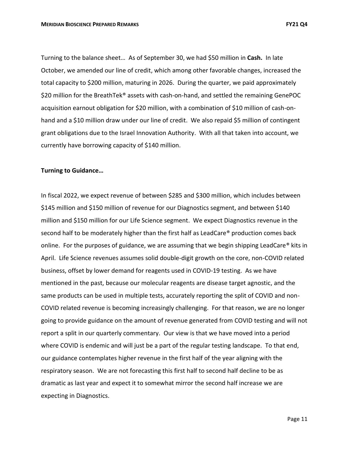Turning to the balance sheet… As of September 30, we had \$50 million in **Cash.** In late October, we amended our line of credit, which among other favorable changes, increased the total capacity to \$200 million, maturing in 2026. During the quarter, we paid approximately \$20 million for the BreathTek® assets with cash-on-hand, and settled the remaining GenePOC acquisition earnout obligation for \$20 million, with a combination of \$10 million of cash-onhand and a \$10 million draw under our line of credit. We also repaid \$5 million of contingent grant obligations due to the Israel Innovation Authority. With all that taken into account, we currently have borrowing capacity of \$140 million.

## **Turning to Guidance…**

In fiscal 2022, we expect revenue of between \$285 and \$300 million, which includes between \$145 million and \$150 million of revenue for our Diagnostics segment, and between \$140 million and \$150 million for our Life Science segment. We expect Diagnostics revenue in the second half to be moderately higher than the first half as LeadCare® production comes back online. For the purposes of guidance, we are assuming that we begin shipping LeadCare® kits in April. Life Science revenues assumes solid double-digit growth on the core, non-COVID related business, offset by lower demand for reagents used in COVID-19 testing. As we have mentioned in the past, because our molecular reagents are disease target agnostic, and the same products can be used in multiple tests, accurately reporting the split of COVID and non-COVID related revenue is becoming increasingly challenging. For that reason, we are no longer going to provide guidance on the amount of revenue generated from COVID testing and will not report a split in our quarterly commentary. Our view is that we have moved into a period where COVID is endemic and will just be a part of the regular testing landscape. To that end, our guidance contemplates higher revenue in the first half of the year aligning with the respiratory season. We are not forecasting this first half to second half decline to be as dramatic as last year and expect it to somewhat mirror the second half increase we are expecting in Diagnostics.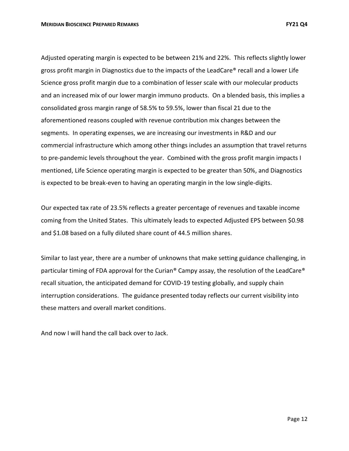Adjusted operating margin is expected to be between 21% and 22%. This reflects slightly lower gross profit margin in Diagnostics due to the impacts of the LeadCare® recall and a lower Life Science gross profit margin due to a combination of lesser scale with our molecular products and an increased mix of our lower margin immuno products. On a blended basis, this implies a consolidated gross margin range of 58.5% to 59.5%, lower than fiscal 21 due to the aforementioned reasons coupled with revenue contribution mix changes between the segments. In operating expenses, we are increasing our investments in R&D and our commercial infrastructure which among other things includes an assumption that travel returns to pre-pandemic levels throughout the year. Combined with the gross profit margin impacts I mentioned, Life Science operating margin is expected to be greater than 50%, and Diagnostics is expected to be break-even to having an operating margin in the low single-digits.

Our expected tax rate of 23.5% reflects a greater percentage of revenues and taxable income coming from the United States. This ultimately leads to expected Adjusted EPS between \$0.98 and \$1.08 based on a fully diluted share count of 44.5 million shares.

Similar to last year, there are a number of unknowns that make setting guidance challenging, in particular timing of FDA approval for the Curian® Campy assay, the resolution of the LeadCare® recall situation, the anticipated demand for COVID-19 testing globally, and supply chain interruption considerations. The guidance presented today reflects our current visibility into these matters and overall market conditions.

And now I will hand the call back over to Jack.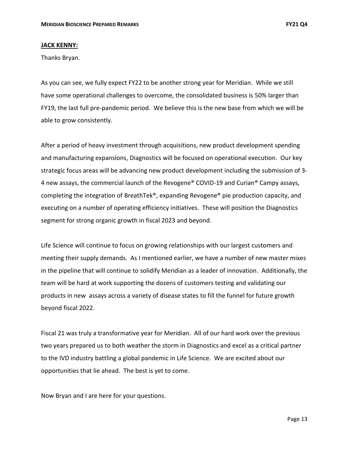### **JACK KENNY:**

Thanks Bryan.

As you can see, we fully expect FY22 to be another strong year for Meridian. While we still have some operational challenges to overcome, the consolidated business is 50% larger than FY19, the last full pre-pandemic period. We believe this is the new base from which we will be able to grow consistently.

After a period of heavy investment through acquisitions, new product development spending and manufacturing expansions, Diagnostics will be focused on operational execution. Our key strategic focus areas will be advancing new product development including the submission of 3- 4 new assays, the commercial launch of the Revogene® COVID-19 and Curian® Campy assays, completing the integration of BreathTek®, expanding Revogene® pie production capacity, and executing on a number of operating efficiency initiatives. These will position the Diagnostics segment for strong organic growth in fiscal 2023 and beyond.

Life Science will continue to focus on growing relationships with our largest customers and meeting their supply demands. As I mentioned earlier, we have a number of new master mixes in the pipeline that will continue to solidify Meridian as a leader of innovation. Additionally, the team will be hard at work supporting the dozens of customers testing and validating our products in new assays across a variety of disease states to fill the funnel for future growth beyond fiscal 2022.

Fiscal 21 was truly a transformative year for Meridian. All of our hard work over the previous two years prepared us to both weather the storm in Diagnostics and excel as a critical partner to the IVD industry battling a global pandemic in Life Science. We are excited about our opportunities that lie ahead. The best is yet to come.

Now Bryan and I are here for your questions.